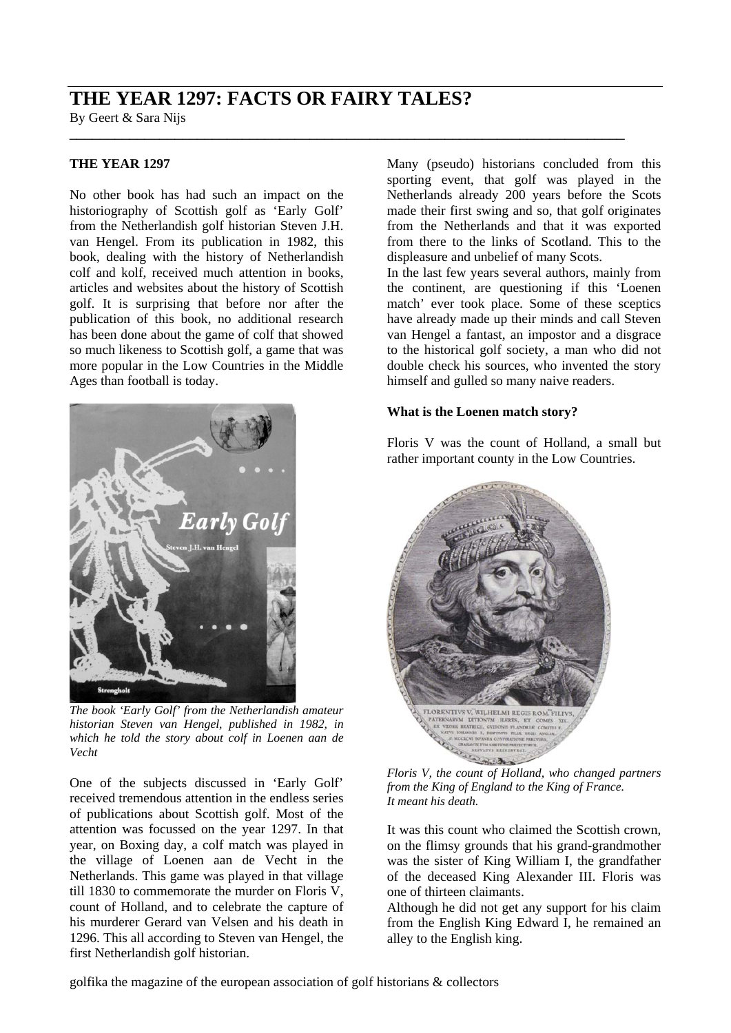# **THE YEAR 1297: FACTS OR FAIRY TALES?**

By Geert & Sara Nijs \_\_\_\_\_\_\_\_\_\_\_\_\_\_\_\_\_\_\_\_\_\_\_\_\_\_\_\_\_\_\_\_\_\_\_\_\_\_\_\_\_\_\_\_\_\_\_\_\_\_\_\_\_\_\_\_\_\_\_\_\_\_\_\_\_\_\_\_\_\_\_\_\_\_

## **THE YEAR 1297**

No other book has had such an impact on the historiography of Scottish golf as 'Early Golf' from the Netherlandish golf historian Steven J.H. van Hengel. From its publication in 1982, this book, dealing with the history of Netherlandish colf and kolf, received much attention in books, articles and websites about the history of Scottish golf. It is surprising that before nor after the publication of this book, no additional research has been done about the game of colf that showed so much likeness to Scottish golf, a game that was more popular in the Low Countries in the Middle Ages than football is today.



*The book 'Early Golf' from the Netherlandish amateur historian Steven van Hengel, published in 1982, in which he told the story about colf in Loenen aan de Vecht* 

One of the subjects discussed in 'Early Golf' received tremendous attention in the endless series of publications about Scottish golf. Most of the attention was focussed on the year 1297. In that year, on Boxing day, a colf match was played in the village of Loenen aan de Vecht in the Netherlands. This game was played in that village till 1830 to commemorate the murder on Floris V, count of Holland, and to celebrate the capture of his murderer Gerard van Velsen and his death in 1296. This all according to Steven van Hengel, the first Netherlandish golf historian.

Many (pseudo) historians concluded from this sporting event, that golf was played in the Netherlands already 200 years before the Scots made their first swing and so, that golf originates from the Netherlands and that it was exported from there to the links of Scotland. This to the displeasure and unbelief of many Scots.

In the last few years several authors, mainly from the continent, are questioning if this 'Loenen match' ever took place. Some of these sceptics have already made up their minds and call Steven van Hengel a fantast, an impostor and a disgrace to the historical golf society, a man who did not double check his sources, who invented the story himself and gulled so many naive readers.

### **What is the Loenen match story?**

Floris V was the count of Holland, a small but rather important county in the Low Countries.



*Floris V, the count of Holland, who changed partners from the King of England to the King of France. It meant his death.* 

It was this count who claimed the Scottish crown, on the flimsy grounds that his grand-grandmother was the sister of King William I, the grandfather of the deceased King Alexander III. Floris was one of thirteen claimants.

Although he did not get any support for his claim from the English King Edward I, he remained an alley to the English king.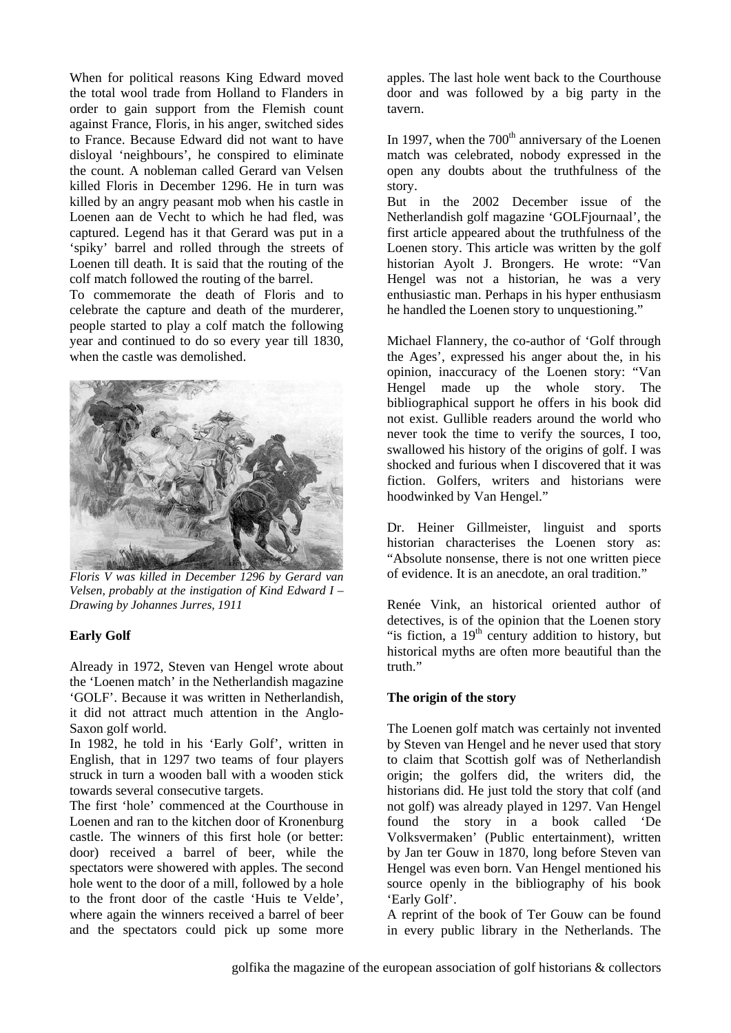When for political reasons King Edward moved the total wool trade from Holland to Flanders in order to gain support from the Flemish count against France, Floris, in his anger, switched sides to France. Because Edward did not want to have disloyal 'neighbours', he conspired to eliminate the count. A nobleman called Gerard van Velsen killed Floris in December 1296. He in turn was killed by an angry peasant mob when his castle in Loenen aan de Vecht to which he had fled, was captured. Legend has it that Gerard was put in a 'spiky' barrel and rolled through the streets of Loenen till death. It is said that the routing of the colf match followed the routing of the barrel.

To commemorate the death of Floris and to celebrate the capture and death of the murderer, people started to play a colf match the following year and continued to do so every year till 1830, when the castle was demolished.



*Floris V was killed in December 1296 by Gerard van Velsen, probably at the instigation of Kind Edward I – Drawing by Johannes Jurres, 1911* 

### **Early Golf**

Already in 1972, Steven van Hengel wrote about the 'Loenen match' in the Netherlandish magazine 'GOLF'. Because it was written in Netherlandish, it did not attract much attention in the Anglo-Saxon golf world.

In 1982, he told in his 'Early Golf', written in English, that in 1297 two teams of four players struck in turn a wooden ball with a wooden stick towards several consecutive targets.

The first 'hole' commenced at the Courthouse in Loenen and ran to the kitchen door of Kronenburg castle. The winners of this first hole (or better: door) received a barrel of beer, while the spectators were showered with apples. The second hole went to the door of a mill, followed by a hole to the front door of the castle 'Huis te Velde', where again the winners received a barrel of beer and the spectators could pick up some more apples. The last hole went back to the Courthouse door and was followed by a big party in the tavern.

In 1997, when the  $700<sup>th</sup>$  anniversary of the Loenen match was celebrated, nobody expressed in the open any doubts about the truthfulness of the story.

But in the 2002 December issue of the Netherlandish golf magazine 'GOLFjournaal', the first article appeared about the truthfulness of the Loenen story. This article was written by the golf historian Ayolt J. Brongers. He wrote: "Van Hengel was not a historian, he was a very enthusiastic man. Perhaps in his hyper enthusiasm he handled the Loenen story to unquestioning."

Michael Flannery, the co-author of 'Golf through the Ages', expressed his anger about the, in his opinion, inaccuracy of the Loenen story: "Van Hengel made up the whole story. The bibliographical support he offers in his book did not exist. Gullible readers around the world who never took the time to verify the sources, I too, swallowed his history of the origins of golf. I was shocked and furious when I discovered that it was fiction. Golfers, writers and historians were hoodwinked by Van Hengel."

Dr. Heiner Gillmeister, linguist and sports historian characterises the Loenen story as: "Absolute nonsense, there is not one written piece of evidence. It is an anecdote, an oral tradition."

Renée Vink, an historical oriented author of detectives, is of the opinion that the Loenen story "is fiction, a  $19<sup>th</sup>$  century addition to history, but historical myths are often more beautiful than the truth."

### **The origin of the story**

The Loenen golf match was certainly not invented by Steven van Hengel and he never used that story to claim that Scottish golf was of Netherlandish origin; the golfers did, the writers did, the historians did. He just told the story that colf (and not golf) was already played in 1297. Van Hengel found the story in a book called 'De Volksvermaken' (Public entertainment), written by Jan ter Gouw in 1870, long before Steven van Hengel was even born. Van Hengel mentioned his source openly in the bibliography of his book 'Early Golf'.

A reprint of the book of Ter Gouw can be found in every public library in the Netherlands. The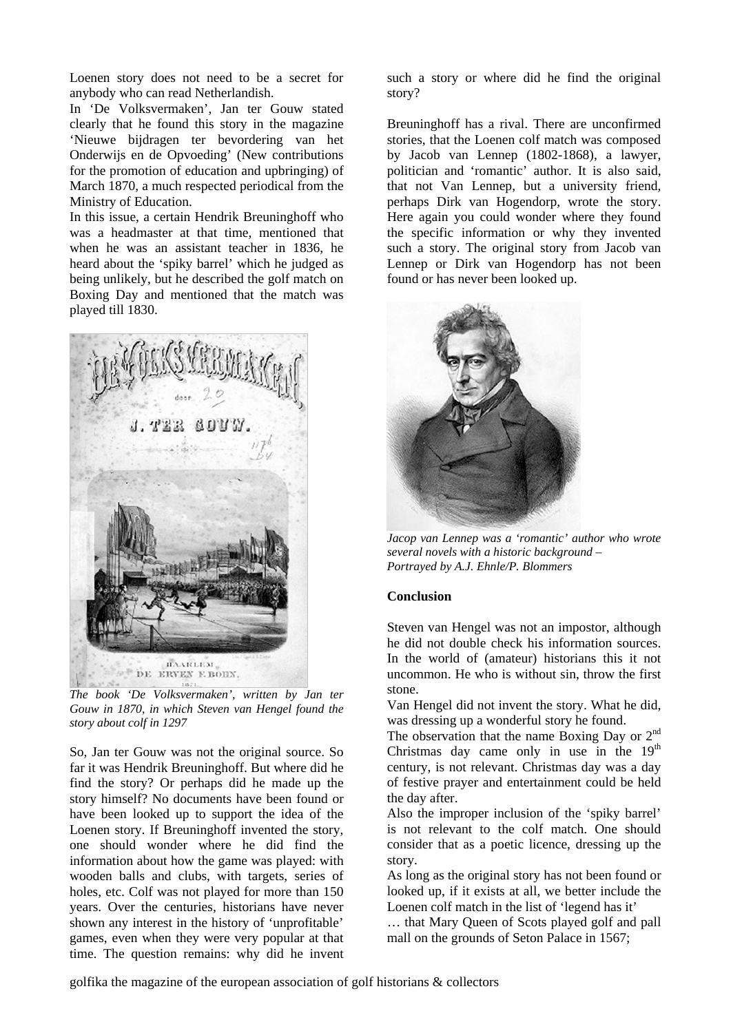Loenen story does not need to be a secret for anybody who can read Netherlandish.

In 'De Volksvermaken', Jan ter Gouw stated clearly that he found this story in the magazine 'Nieuwe bijdragen ter bevordering van het Onderwijs en de Opvoeding' (New contributions for the promotion of education and upbringing) of March 1870, a much respected periodical from the Ministry of Education.

In this issue, a certain Hendrik Breuninghoff who was a headmaster at that time, mentioned that when he was an assistant teacher in 1836, he heard about the 'spiky barrel' which he judged as being unlikely, but he described the golf match on Boxing Day and mentioned that the match was played till 1830.



*The book 'De Volksvermaken', written by Jan ter Gouw in 1870, in which Steven van Hengel found the story about colf in 1297* 

So, Jan ter Gouw was not the original source. So far it was Hendrik Breuninghoff. But where did he find the story? Or perhaps did he made up the story himself? No documents have been found or have been looked up to support the idea of the Loenen story. If Breuninghoff invented the story, one should wonder where he did find the information about how the game was played: with wooden balls and clubs, with targets, series of holes, etc. Colf was not played for more than 150 years. Over the centuries, historians have never shown any interest in the history of 'unprofitable' games, even when they were very popular at that time. The question remains: why did he invent

such a story or where did he find the original story?

Breuninghoff has a rival. There are unconfirmed stories, that the Loenen colf match was composed by Jacob van Lennep (1802-1868), a lawyer, politician and 'romantic' author. It is also said, that not Van Lennep, but a university friend, perhaps Dirk van Hogendorp, wrote the story. Here again you could wonder where they found the specific information or why they invented such a story. The original story from Jacob van Lennep or Dirk van Hogendorp has not been found or has never been looked up.



 *Jacop van Lennep was a 'romantic' author who wrote several novels with a historic background – Portrayed by A.J. Ehnle/P. Blommers* 

#### **Conclusion**

Steven van Hengel was not an impostor, although he did not double check his information sources. In the world of (amateur) historians this it not uncommon. He who is without sin, throw the first stone.

Van Hengel did not invent the story. What he did, was dressing up a wonderful story he found.

The observation that the name Boxing Day or 2<sup>nd</sup> Christmas day came only in use in the  $19<sup>th</sup>$ century, is not relevant. Christmas day was a day of festive prayer and entertainment could be held the day after.

Also the improper inclusion of the 'spiky barrel' is not relevant to the colf match. One should consider that as a poetic licence, dressing up the story.

As long as the original story has not been found or looked up, if it exists at all, we better include the Loenen colf match in the list of 'legend has it'

… that Mary Queen of Scots played golf and pall mall on the grounds of Seton Palace in 1567;